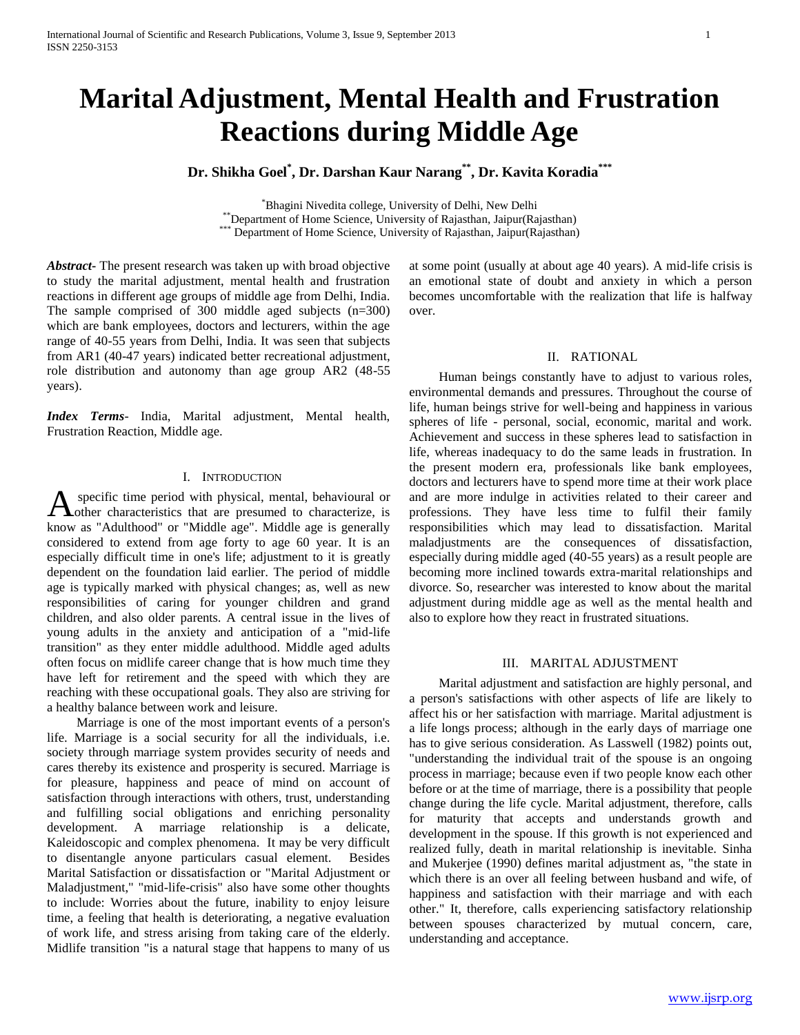# **Marital Adjustment, Mental Health and Frustration Reactions during Middle Age**

# **Dr. Shikha Goel\* , Dr. Darshan Kaur Narang\*\* , Dr. Kavita Koradia\*\*\***

\*Bhagini Nivedita college, University of Delhi, New Delhi \*\*Department of Home Science, University of Rajasthan, Jaipur(Rajasthan) \* Department of Home Science, University of Rajasthan, Jaipur(Rajasthan)

*Abstract***-** The present research was taken up with broad objective to study the marital adjustment, mental health and frustration reactions in different age groups of middle age from Delhi, India. The sample comprised of 300 middle aged subjects (n=300) which are bank employees, doctors and lecturers, within the age range of 40-55 years from Delhi, India. It was seen that subjects from AR1 (40-47 years) indicated better recreational adjustment, role distribution and autonomy than age group AR2 (48-55 years).

*Index Terms*- India, Marital adjustment, Mental health, Frustration Reaction, Middle age.

#### I. INTRODUCTION

specific time period with physical, mental, behavioural or other characteristics that are presumed to characterize, is know as "Adulthood" or "Middle age". Middle age is generally considered to extend from age forty to age 60 year. It is an especially difficult time in one's life; adjustment to it is greatly dependent on the foundation laid earlier. The period of middle age is typically marked with physical changes; as, well as new responsibilities of caring for younger children and grand children, and also older parents. A central issue in the lives of young adults in the anxiety and anticipation of a "mid-life transition" as they enter middle adulthood. Middle aged adults often focus on midlife career change that is how much time they have left for retirement and the speed with which they are reaching with these occupational goals. They also are striving for a healthy balance between work and leisure. A

 Marriage is one of the most important events of a person's life. Marriage is a social security for all the individuals, i.e. society through marriage system provides security of needs and cares thereby its existence and prosperity is secured. Marriage is for pleasure, happiness and peace of mind on account of satisfaction through interactions with others, trust, understanding and fulfilling social obligations and enriching personality development. A marriage relationship is a delicate, Kaleidoscopic and complex phenomena. It may be very difficult to disentangle anyone particulars casual element. Besides Marital Satisfaction or dissatisfaction or "Marital Adjustment or Maladjustment," "mid-life-crisis" also have some other thoughts to include: Worries about the future, inability to enjoy leisure time, a feeling that health is deteriorating, a negative evaluation of work life, and stress arising from taking care of the elderly. Midlife transition "is a natural stage that happens to many of us

at some point (usually at about age 40 years). A mid-life crisis is an emotional state of doubt and anxiety in which a person becomes uncomfortable with the realization that life is halfway over.

#### II. RATIONAL

 Human beings constantly have to adjust to various roles, environmental demands and pressures. Throughout the course of life, human beings strive for well-being and happiness in various spheres of life - personal, social, economic, marital and work. Achievement and success in these spheres lead to satisfaction in life, whereas inadequacy to do the same leads in frustration. In the present modern era, professionals like bank employees, doctors and lecturers have to spend more time at their work place and are more indulge in activities related to their career and professions. They have less time to fulfil their family responsibilities which may lead to dissatisfaction. Marital maladjustments are the consequences of dissatisfaction, especially during middle aged (40-55 years) as a result people are becoming more inclined towards extra-marital relationships and divorce. So, researcher was interested to know about the marital adjustment during middle age as well as the mental health and also to explore how they react in frustrated situations.

#### III. MARITAL ADJUSTMENT

 Marital adjustment and satisfaction are highly personal, and a person's satisfactions with other aspects of life are likely to affect his or her satisfaction with marriage. Marital adjustment is a life longs process; although in the early days of marriage one has to give serious consideration. As Lasswell (1982) points out, "understanding the individual trait of the spouse is an ongoing process in marriage; because even if two people know each other before or at the time of marriage, there is a possibility that people change during the life cycle. Marital adjustment, therefore, calls for maturity that accepts and understands growth and development in the spouse. If this growth is not experienced and realized fully, death in marital relationship is inevitable. Sinha and Mukerjee (1990) defines marital adjustment as, "the state in which there is an over all feeling between husband and wife, of happiness and satisfaction with their marriage and with each other." It, therefore, calls experiencing satisfactory relationship between spouses characterized by mutual concern, care, understanding and acceptance.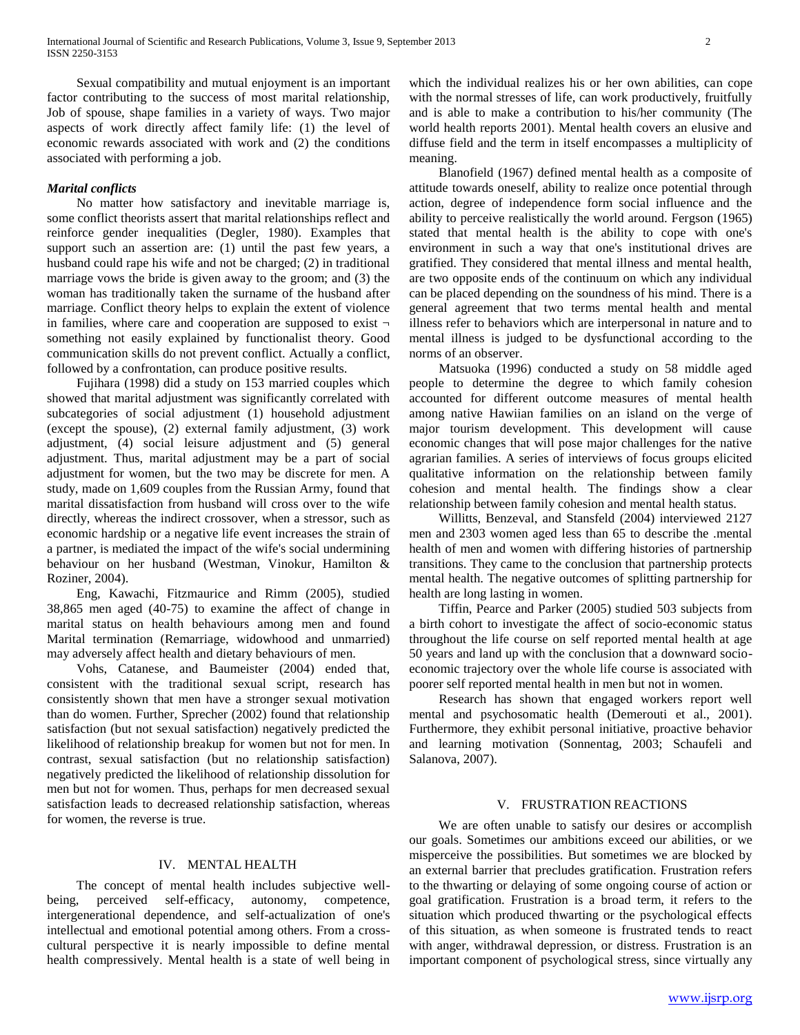Sexual compatibility and mutual enjoyment is an important factor contributing to the success of most marital relationship, Job of spouse, shape families in a variety of ways. Two major aspects of work directly affect family life: (1) the level of economic rewards associated with work and (2) the conditions associated with performing a job.

#### *Marital conflicts*

 No matter how satisfactory and inevitable marriage is, some conflict theorists assert that marital relationships reflect and reinforce gender inequalities (Degler, 1980). Examples that support such an assertion are: (1) until the past few years, a husband could rape his wife and not be charged; (2) in traditional marriage vows the bride is given away to the groom; and (3) the woman has traditionally taken the surname of the husband after marriage. Conflict theory helps to explain the extent of violence in families, where care and cooperation are supposed to exist  $\neg$ something not easily explained by functionalist theory. Good communication skills do not prevent conflict. Actually a conflict, followed by a confrontation, can produce positive results.

 Fujihara (1998) did a study on 153 married couples which showed that marital adjustment was significantly correlated with subcategories of social adjustment (1) household adjustment (except the spouse), (2) external family adjustment, (3) work adjustment, (4) social leisure adjustment and (5) general adjustment. Thus, marital adjustment may be a part of social adjustment for women, but the two may be discrete for men. A study, made on 1,609 couples from the Russian Army, found that marital dissatisfaction from husband will cross over to the wife directly, whereas the indirect crossover, when a stressor, such as economic hardship or a negative life event increases the strain of a partner, is mediated the impact of the wife's social undermining behaviour on her husband (Westman, Vinokur, Hamilton & Roziner, 2004).

 Eng, Kawachi, Fitzmaurice and Rimm (2005), studied 38,865 men aged (40-75) to examine the affect of change in marital status on health behaviours among men and found Marital termination (Remarriage, widowhood and unmarried) may adversely affect health and dietary behaviours of men.

 Vohs, Catanese, and Baumeister (2004) ended that, consistent with the traditional sexual script, research has consistently shown that men have a stronger sexual motivation than do women. Further, Sprecher (2002) found that relationship satisfaction (but not sexual satisfaction) negatively predicted the likelihood of relationship breakup for women but not for men. In contrast, sexual satisfaction (but no relationship satisfaction) negatively predicted the likelihood of relationship dissolution for men but not for women. Thus, perhaps for men decreased sexual satisfaction leads to decreased relationship satisfaction, whereas for women, the reverse is true.

#### IV. MENTAL HEALTH

 The concept of mental health includes subjective wellbeing, perceived self-efficacy, autonomy, competence, intergenerational dependence, and self-actualization of one's intellectual and emotional potential among others. From a crosscultural perspective it is nearly impossible to define mental health compressively. Mental health is a state of well being in

which the individual realizes his or her own abilities, can cope with the normal stresses of life, can work productively, fruitfully and is able to make a contribution to his/her community (The world health reports 2001). Mental health covers an elusive and diffuse field and the term in itself encompasses a multiplicity of meaning.

 Blanofield (1967) defined mental health as a composite of attitude towards oneself, ability to realize once potential through action, degree of independence form social influence and the ability to perceive realistically the world around. Fergson (1965) stated that mental health is the ability to cope with one's environment in such a way that one's institutional drives are gratified. They considered that mental illness and mental health, are two opposite ends of the continuum on which any individual can be placed depending on the soundness of his mind. There is a general agreement that two terms mental health and mental illness refer to behaviors which are interpersonal in nature and to mental illness is judged to be dysfunctional according to the norms of an observer.

 Matsuoka (1996) conducted a study on 58 middle aged people to determine the degree to which family cohesion accounted for different outcome measures of mental health among native Hawiian families on an island on the verge of major tourism development. This development will cause economic changes that will pose major challenges for the native agrarian families. A series of interviews of focus groups elicited qualitative information on the relationship between family cohesion and mental health. The findings show a clear relationship between family cohesion and mental health status.

 Willitts, Benzeval, and Stansfeld (2004) interviewed 2127 men and 2303 women aged less than 65 to describe the .mental health of men and women with differing histories of partnership transitions. They came to the conclusion that partnership protects mental health. The negative outcomes of splitting partnership for health are long lasting in women.

 Tiffin, Pearce and Parker (2005) studied 503 subjects from a birth cohort to investigate the affect of socio-economic status throughout the life course on self reported mental health at age 50 years and land up with the conclusion that a downward socioeconomic trajectory over the whole life course is associated with poorer self reported mental health in men but not in women.

 Research has shown that engaged workers report well mental and psychosomatic health (Demerouti et al., 2001). Furthermore, they exhibit personal initiative, proactive behavior and learning motivation (Sonnentag, 2003; Schaufeli and Salanova, 2007).

#### V. FRUSTRATION REACTIONS

 We are often unable to satisfy our desires or accomplish our goals. Sometimes our ambitions exceed our abilities, or we misperceive the possibilities. But sometimes we are blocked by an external barrier that precludes gratification. Frustration refers to the thwarting or delaying of some ongoing course of action or goal gratification. Frustration is a broad term, it refers to the situation which produced thwarting or the psychological effects of this situation, as when someone is frustrated tends to react with anger, withdrawal depression, or distress. Frustration is an important component of psychological stress, since virtually any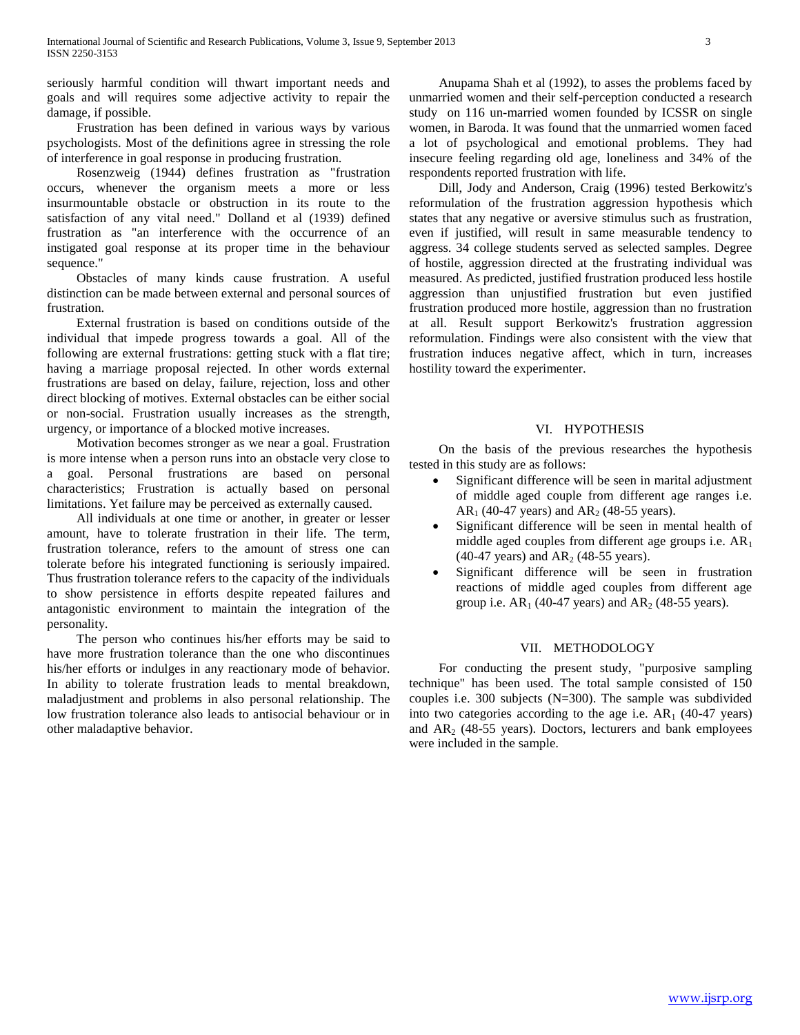seriously harmful condition will thwart important needs and goals and will requires some adjective activity to repair the damage, if possible.

 Frustration has been defined in various ways by various psychologists. Most of the definitions agree in stressing the role of interference in goal response in producing frustration.

 Rosenzweig (1944) defines frustration as "frustration occurs, whenever the organism meets a more or less insurmountable obstacle or obstruction in its route to the satisfaction of any vital need." Dolland et al (1939) defined frustration as "an interference with the occurrence of an instigated goal response at its proper time in the behaviour sequence."

 Obstacles of many kinds cause frustration. A useful distinction can be made between external and personal sources of frustration.

 External frustration is based on conditions outside of the individual that impede progress towards a goal. All of the following are external frustrations: getting stuck with a flat tire; having a marriage proposal rejected. In other words external frustrations are based on delay, failure, rejection, loss and other direct blocking of motives. External obstacles can be either social or non-social. Frustration usually increases as the strength, urgency, or importance of a blocked motive increases.

 Motivation becomes stronger as we near a goal. Frustration is more intense when a person runs into an obstacle very close to a goal. Personal frustrations are based on personal characteristics; Frustration is actually based on personal limitations. Yet failure may be perceived as externally caused.

 All individuals at one time or another, in greater or lesser amount, have to tolerate frustration in their life. The term, frustration tolerance, refers to the amount of stress one can tolerate before his integrated functioning is seriously impaired. Thus frustration tolerance refers to the capacity of the individuals to show persistence in efforts despite repeated failures and antagonistic environment to maintain the integration of the personality.

 The person who continues his/her efforts may be said to have more frustration tolerance than the one who discontinues his/her efforts or indulges in any reactionary mode of behavior. In ability to tolerate frustration leads to mental breakdown, maladjustment and problems in also personal relationship. The low frustration tolerance also leads to antisocial behaviour or in other maladaptive behavior.

 Anupama Shah et al (1992), to asses the problems faced by unmarried women and their self-perception conducted a research study on 116 un-married women founded by ICSSR on single women, in Baroda. It was found that the unmarried women faced a lot of psychological and emotional problems. They had insecure feeling regarding old age, loneliness and 34% of the respondents reported frustration with life.

 Dill, Jody and Anderson, Craig (1996) tested Berkowitz's reformulation of the frustration aggression hypothesis which states that any negative or aversive stimulus such as frustration, even if justified, will result in same measurable tendency to aggress. 34 college students served as selected samples. Degree of hostile, aggression directed at the frustrating individual was measured. As predicted, justified frustration produced less hostile aggression than unjustified frustration but even justified frustration produced more hostile, aggression than no frustration at all. Result support Berkowitz's frustration aggression reformulation. Findings were also consistent with the view that frustration induces negative affect, which in turn, increases hostility toward the experimenter.

#### VI. HYPOTHESIS

 On the basis of the previous researches the hypothesis tested in this study are as follows:

- Significant difference will be seen in marital adjustment of middle aged couple from different age ranges i.e.  $AR_1$  (40-47 years) and  $AR_2$  (48-55 years).
- Significant difference will be seen in mental health of middle aged couples from different age groups i.e.  $AR_1$ (40-47 years) and  $AR_2$  (48-55 years).
- Significant difference will be seen in frustration reactions of middle aged couples from different age group i.e.  $AR_1$  (40-47 years) and  $AR_2$  (48-55 years).

#### VII. METHODOLOGY

 For conducting the present study, "purposive sampling technique" has been used. The total sample consisted of 150 couples i.e. 300 subjects (N=300). The sample was subdivided into two categories according to the age i.e.  $AR<sub>1</sub>$  (40-47 years) and  $AR<sub>2</sub>$  (48-55 years). Doctors, lecturers and bank employees were included in the sample.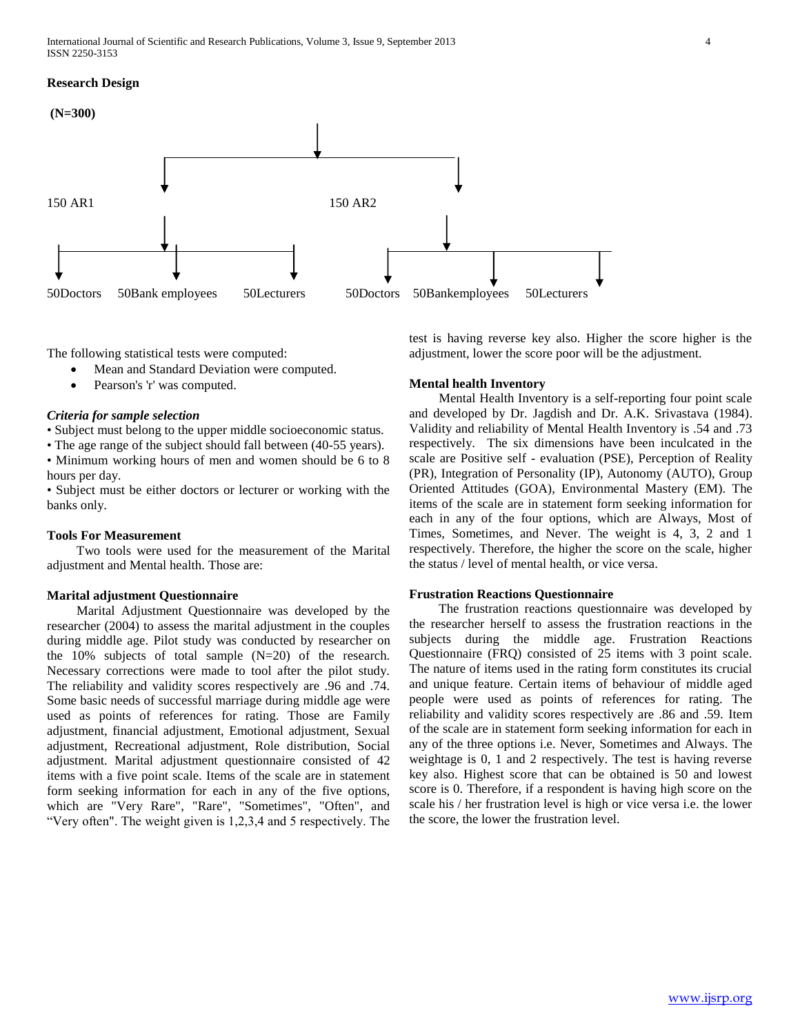#### **Research Design**



The following statistical tests were computed:

- Mean and Standard Deviation were computed.
- Pearson's 'r' was computed.

#### *Criteria for sample selection*

• Subject must belong to the upper middle socioeconomic status.

• The age range of the subject should fall between (40-55 years).

• Minimum working hours of men and women should be 6 to 8 hours per day.

• Subject must be either doctors or lecturer or working with the banks only.

#### **Tools For Measurement**

 Two tools were used for the measurement of the Marital adjustment and Mental health. Those are:

#### **Marital adjustment Questionnaire**

 Marital Adjustment Questionnaire was developed by the researcher (2004) to assess the marital adjustment in the couples during middle age. Pilot study was conducted by researcher on the 10% subjects of total sample (N=20) of the research. Necessary corrections were made to tool after the pilot study. The reliability and validity scores respectively are .96 and .74. Some basic needs of successful marriage during middle age were used as points of references for rating. Those are Family adjustment, financial adjustment, Emotional adjustment, Sexual adjustment, Recreational adjustment, Role distribution, Social adjustment. Marital adjustment questionnaire consisted of 42 items with a five point scale. Items of the scale are in statement form seeking information for each in any of the five options, which are "Very Rare", "Rare", "Sometimes", "Often", and "Very often". The weight given is 1,2,3,4 and 5 respectively. The

test is having reverse key also. Higher the score higher is the adjustment, lower the score poor will be the adjustment.

#### **Mental health Inventory**

 Mental Health Inventory is a self-reporting four point scale and developed by Dr. Jagdish and Dr. A.K. Srivastava (1984). Validity and reliability of Mental Health Inventory is .54 and .73 respectively. The six dimensions have been inculcated in the scale are Positive self - evaluation (PSE), Perception of Reality (PR), Integration of Personality (IP), Autonomy (AUTO), Group Oriented Attitudes (GOA), Environmental Mastery (EM). The items of the scale are in statement form seeking information for each in any of the four options, which are Always, Most of Times, Sometimes, and Never. The weight is 4, 3, 2 and 1 respectively. Therefore, the higher the score on the scale, higher the status / level of mental health, or vice versa.

#### **Frustration Reactions Questionnaire**

 The frustration reactions questionnaire was developed by the researcher herself to assess the frustration reactions in the subjects during the middle age. Frustration Reactions Questionnaire (FRQ) consisted of 25 items with 3 point scale. The nature of items used in the rating form constitutes its crucial and unique feature. Certain items of behaviour of middle aged people were used as points of references for rating. The reliability and validity scores respectively are .86 and .59. Item of the scale are in statement form seeking information for each in any of the three options i.e. Never, Sometimes and Always. The weightage is 0, 1 and 2 respectively. The test is having reverse key also. Highest score that can be obtained is 50 and lowest score is 0. Therefore, if a respondent is having high score on the scale his / her frustration level is high or vice versa i.e. the lower the score, the lower the frustration level.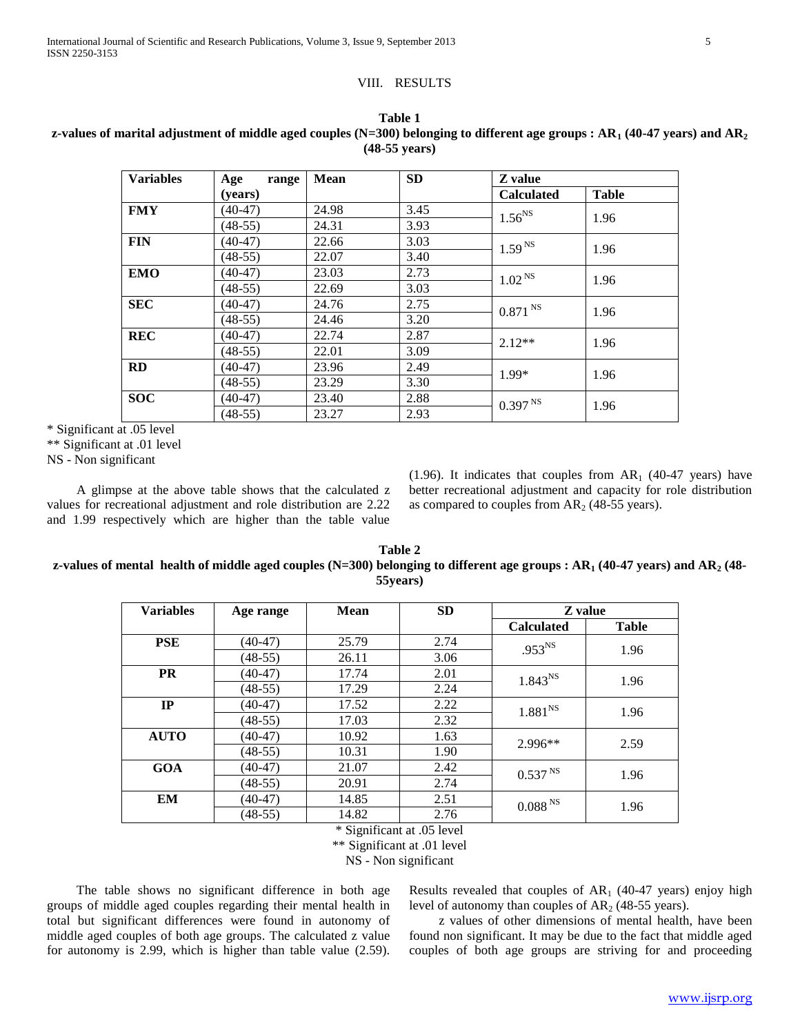#### VIII. RESULTS

| <b>Variables</b> | Age<br>range | <b>Mean</b> | <b>SD</b> | Z value               |              |
|------------------|--------------|-------------|-----------|-----------------------|--------------|
|                  | (years)      |             |           | <b>Calculated</b>     | <b>Table</b> |
| <b>FMY</b>       | $(40-47)$    | 24.98       | 3.45      | 1.56 <sup>NS</sup>    | 1.96         |
|                  | $(48-55)$    | 24.31       | 3.93      |                       |              |
| <b>FIN</b>       | $(40-47)$    | 22.66       | 3.03      | 1.59 <sup>NS</sup>    | 1.96         |
|                  | $(48-55)$    | 22.07       | 3.40      |                       |              |
| <b>EMO</b>       | $(40-47)$    | 23.03       | 2.73      | 1.02 <sup>NS</sup>    | 1.96         |
|                  | $(48-55)$    | 22.69       | 3.03      |                       |              |
| <b>SEC</b>       | $(40-47)$    | 24.76       | 2.75      | $0.871$ <sup>NS</sup> | 1.96         |
|                  | $(48-55)$    | 24.46       | 3.20      |                       |              |
| <b>REC</b>       | $(40-47)$    | 22.74       | 2.87      | $2.12**$              | 1.96         |
|                  | $(48-55)$    | 22.01       | 3.09      |                       |              |
| <b>RD</b>        | $(40-47)$    | 23.96       | 2.49      | 1.99*                 | 1.96         |
|                  | $(48-55)$    | 23.29       | 3.30      |                       |              |
| <b>SOC</b>       | $(40-47)$    | 23.40       | 2.88      | 0.397 <sup>NS</sup>   | 1.96         |
|                  | $(48-55)$    | 23.27       | 2.93      |                       |              |

# **Table 1 z-values of marital adjustment of middle aged couples (N=300) belonging to different age groups : AR<sup>1</sup> (40-47 years) and AR<sup>2</sup> (48-55 years)**

\* Significant at .05 level

\*\* Significant at .01 level

NS - Non significant

 A glimpse at the above table shows that the calculated z values for recreational adjustment and role distribution are 2.22 and 1.99 respectively which are higher than the table value

(1.96). It indicates that couples from  $AR<sub>1</sub>$  (40-47 years) have better recreational adjustment and capacity for role distribution as compared to couples from  $AR<sub>2</sub>$  (48-55 years).

## **Table 2 z-values of mental health of middle aged couples (N=300) belonging to different age groups : AR<sup>1</sup> (40-47 years) and AR<sup>2</sup> (48- 55years)**

| <b>Variables</b> | Age range | <b>Mean</b> | <b>SD</b> | Z value             |              |
|------------------|-----------|-------------|-----------|---------------------|--------------|
|                  |           |             |           | <b>Calculated</b>   | <b>Table</b> |
| <b>PSE</b>       | (40-47)   | 25.79       | 2.74      | $.953^{NS}$         | 1.96         |
|                  | $(48-55)$ | 26.11       | 3.06      |                     |              |
| <b>PR</b>        | $(40-47)$ | 17.74       | 2.01      | 1.843 <sup>NS</sup> | 1.96         |
|                  | $(48-55)$ | 17.29       | 2.24      |                     |              |
| IP               | $(40-47)$ | 17.52       | 2.22      | $1.881^{NS}$        | 1.96         |
|                  | $(48-55)$ | 17.03       | 2.32      |                     |              |
| <b>AUTO</b>      | $(40-47)$ | 10.92       | 1.63      | $2.996**$           | 2.59         |
|                  | $(48-55)$ | 10.31       | 1.90      |                     |              |
| <b>GOA</b>       | $(40-47)$ | 21.07       | 2.42      | 0.537 <sup>NS</sup> | 1.96         |
|                  | $(48-55)$ | 20.91       | 2.74      |                     |              |
| EM               | (40-47)   | 14.85       | 2.51      | 0.088 <sup>NS</sup> | 1.96         |
|                  | $(48-55)$ | 14.82       | 2.76      |                     |              |

\* Significant at .05 level

\*\* Significant at .01 level

NS - Non significant

 The table shows no significant difference in both age groups of middle aged couples regarding their mental health in total but significant differences were found in autonomy of middle aged couples of both age groups. The calculated z value for autonomy is 2.99, which is higher than table value (2.59).

Results revealed that couples of  $AR<sub>1</sub>$  (40-47 years) enjoy high level of autonomy than couples of  $AR<sub>2</sub>$  (48-55 years).

 z values of other dimensions of mental health, have been found non significant. It may be due to the fact that middle aged couples of both age groups are striving for and proceeding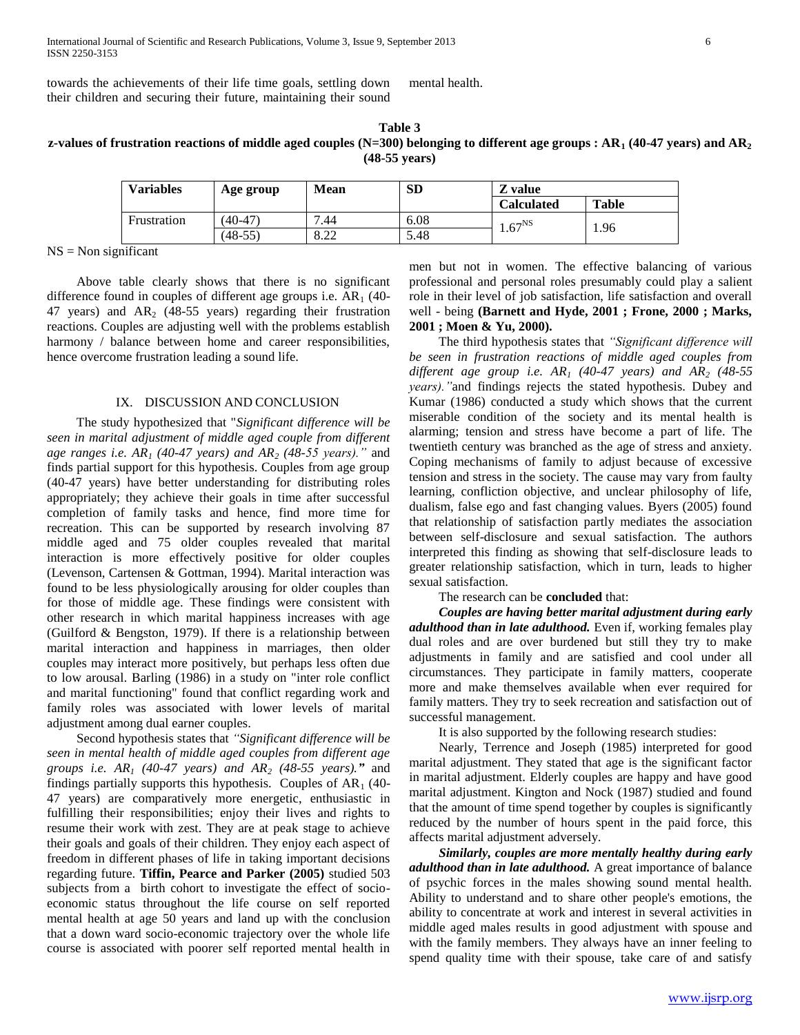towards the achievements of their life time goals, settling down their children and securing their future, maintaining their sound

mental health.

| Table 3                                                                                                                             |
|-------------------------------------------------------------------------------------------------------------------------------------|
| z-values of frustration reactions of middle aged couples (N=300) belonging to different age groups: $AR_1$ (40-47 years) and $AR_2$ |
| $(48-55 \text{ years})$                                                                                                             |

| <b>Variables</b> | Age group | <b>Mean</b> | <b>SD</b> | Z value     |              |
|------------------|-----------|-------------|-----------|-------------|--------------|
|                  |           |             |           | Calculated  | <b>Table</b> |
| Frustration      | $(40-47)$ | .44         | 6.08      | $1.67^{NS}$ | 1.96         |
|                  | (48-55)   | 922<br>o.∠∠ | 5.48      |             |              |

 $NS = Non$  significant

 Above table clearly shows that there is no significant difference found in couples of different age groups i.e.  $AR_1$  (40-47 years) and  $AR<sub>2</sub>$  (48-55 years) regarding their frustration reactions. Couples are adjusting well with the problems establish harmony / balance between home and career responsibilities, hence overcome frustration leading a sound life.

## IX. DISCUSSION AND CONCLUSION

 The study hypothesized that "*Significant difference will be seen in marital adjustment of middle aged couple from different age ranges i.e. AR<sup>1</sup> (40-47 years) and AR<sup>2</sup> (48-55 years)."* and finds partial support for this hypothesis. Couples from age group (40-47 years) have better understanding for distributing roles appropriately; they achieve their goals in time after successful completion of family tasks and hence, find more time for recreation. This can be supported by research involving 87 middle aged and 75 older couples revealed that marital interaction is more effectively positive for older couples (Levenson, Cartensen & Gottman, 1994). Marital interaction was found to be less physiologically arousing for older couples than for those of middle age. These findings were consistent with other research in which marital happiness increases with age (Guilford & Bengston, 1979). If there is a relationship between marital interaction and happiness in marriages, then older couples may interact more positively, but perhaps less often due to low arousal. Barling (1986) in a study on "inter role conflict and marital functioning" found that conflict regarding work and family roles was associated with lower levels of marital adjustment among dual earner couples.

 Second hypothesis states that *"Significant difference will be seen in mental health of middle aged couples from different age groups i.e. AR<sup>1</sup> (40-47 years) and AR<sup>2</sup> (48-55 years)."* and findings partially supports this hypothesis. Couples of  $AR<sub>1</sub>$  (40-47 years) are comparatively more energetic, enthusiastic in fulfilling their responsibilities; enjoy their lives and rights to resume their work with zest. They are at peak stage to achieve their goals and goals of their children. They enjoy each aspect of freedom in different phases of life in taking important decisions regarding future. **Tiffin, Pearce and Parker (2005)** studied 503 subjects from a birth cohort to investigate the effect of socioeconomic status throughout the life course on self reported mental health at age 50 years and land up with the conclusion that a down ward socio-economic trajectory over the whole life course is associated with poorer self reported mental health in

men but not in women. The effective balancing of various professional and personal roles presumably could play a salient role in their level of job satisfaction, life satisfaction and overall well - being **(Barnett and Hyde, 2001 ; Frone, 2000 ; Marks, 2001 ; Moen & Yu, 2000).**

 The third hypothesis states that *"Significant difference will be seen in frustration reactions of middle aged couples from different age group i.e. AR<sup>1</sup> (40-47 years) and AR<sup>2</sup> (48-55 years)."*and findings rejects the stated hypothesis. Dubey and Kumar (1986) conducted a study which shows that the current miserable condition of the society and its mental health is alarming; tension and stress have become a part of life. The twentieth century was branched as the age of stress and anxiety. Coping mechanisms of family to adjust because of excessive tension and stress in the society. The cause may vary from faulty learning, confliction objective, and unclear philosophy of life, dualism, false ego and fast changing values. Byers (2005) found that relationship of satisfaction partly mediates the association between self-disclosure and sexual satisfaction. The authors interpreted this finding as showing that self-disclosure leads to greater relationship satisfaction, which in turn, leads to higher sexual satisfaction.

The research can be **concluded** that:

 *Couples are having better marital adjustment during early adulthood than in late adulthood.* Even if, working females play dual roles and are over burdened but still they try to make adjustments in family and are satisfied and cool under all circumstances. They participate in family matters, cooperate more and make themselves available when ever required for family matters. They try to seek recreation and satisfaction out of successful management.

It is also supported by the following research studies:

 Nearly, Terrence and Joseph (1985) interpreted for good marital adjustment. They stated that age is the significant factor in marital adjustment. Elderly couples are happy and have good marital adjustment. Kington and Nock (1987) studied and found that the amount of time spend together by couples is significantly reduced by the number of hours spent in the paid force, this affects marital adjustment adversely.

 *Similarly, couples are more mentally healthy during early adulthood than in late adulthood.* A great importance of balance of psychic forces in the males showing sound mental health. Ability to understand and to share other people's emotions, the ability to concentrate at work and interest in several activities in middle aged males results in good adjustment with spouse and with the family members. They always have an inner feeling to spend quality time with their spouse, take care of and satisfy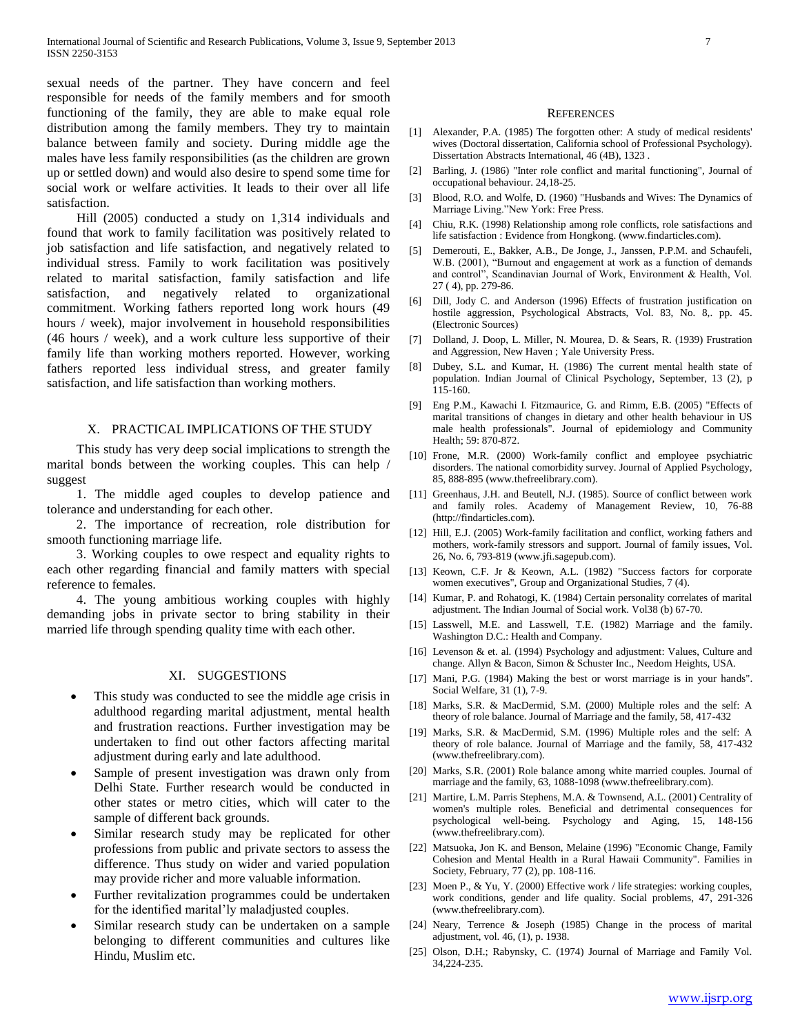sexual needs of the partner. They have concern and feel responsible for needs of the family members and for smooth functioning of the family, they are able to make equal role distribution among the family members. They try to maintain balance between family and society. During middle age the males have less family responsibilities (as the children are grown up or settled down) and would also desire to spend some time for social work or welfare activities. It leads to their over all life satisfaction.

 Hill (2005) conducted a study on 1,314 individuals and found that work to family facilitation was positively related to job satisfaction and life satisfaction, and negatively related to individual stress. Family to work facilitation was positively related to marital satisfaction, family satisfaction and life satisfaction, and negatively related to organizational commitment. Working fathers reported long work hours (49 hours / week), major involvement in household responsibilities (46 hours / week), and a work culture less supportive of their family life than working mothers reported. However, working fathers reported less individual stress, and greater family satisfaction, and life satisfaction than working mothers.

#### X. PRACTICAL IMPLICATIONS OF THE STUDY

 This study has very deep social implications to strength the marital bonds between the working couples. This can help / suggest

 1. The middle aged couples to develop patience and tolerance and understanding for each other.

 2. The importance of recreation, role distribution for smooth functioning marriage life.

 3. Working couples to owe respect and equality rights to each other regarding financial and family matters with special reference to females.

 4. The young ambitious working couples with highly demanding jobs in private sector to bring stability in their married life through spending quality time with each other.

#### XI. SUGGESTIONS

- This study was conducted to see the middle age crisis in adulthood regarding marital adjustment, mental health and frustration reactions. Further investigation may be undertaken to find out other factors affecting marital adjustment during early and late adulthood.
- Sample of present investigation was drawn only from Delhi State. Further research would be conducted in other states or metro cities, which will cater to the sample of different back grounds.
- Similar research study may be replicated for other professions from public and private sectors to assess the difference. Thus study on wider and varied population may provide richer and more valuable information.
- Further revitalization programmes could be undertaken for the identified marital'ly maladjusted couples.
- Similar research study can be undertaken on a sample belonging to different communities and cultures like Hindu, Muslim etc.

#### **REFERENCES**

- [1] Alexander, P.A. (1985) The forgotten other: A study of medical residents' wives (Doctoral dissertation, California school of Professional Psychology). Dissertation Abstracts International, 46 (4B), 1323 .
- [2] Barling, J. (1986) "Inter role conflict and marital functioning", Journal of occupational behaviour. 24,18-25.
- [3] Blood, R.O. and Wolfe, D. (1960) "Husbands and Wives: The Dynamics of Marriage Living."New York: Free Press.
- [4] Chiu, R.K. (1998) Relationship among role conflicts, role satisfactions and life satisfaction : Evidence from Hongkong. (www.findarticles.com).
- [5] Demerouti, E., Bakker, A.B., De Jonge, J., Janssen, P.P.M. and Schaufeli, W.B. (2001), "Burnout and engagement at work as a function of demands and control", Scandinavian Journal of Work, Environment & Health, Vol. 27 ( 4), pp. 279-86.
- [6] Dill, Jody C. and Anderson (1996) Effects of frustration justification on hostile aggression, Psychological Abstracts, Vol. 83, No. 8,. pp. 45. (Electronic Sources)
- [7] Dolland, J. Doop, L. Miller, N. Mourea, D. & Sears, R. (1939) Frustration and Aggression, New Haven ; Yale University Press.
- [8] Dubey, S.L. and Kumar, H. (1986) The current mental health state of population. Indian Journal of Clinical Psychology, September, 13 (2), p 115-160.
- [9] Eng P.M., Kawachi I. Fitzmaurice, G. and Rimm, E.B. (2005) "Effects of marital transitions of changes in dietary and other health behaviour in US male health professionals". Journal of epidemiology and Community Health; 59: 870-872.
- [10] Frone, M.R. (2000) Work-family conflict and employee psychiatric disorders. The national comorbidity survey. Journal of Applied Psychology, 85, 888-895 (www.thefreelibrary.com).
- [11] Greenhaus, J.H. and Beutell, N.J. (1985). Source of conflict between work and family roles. Academy of Management Review, 10, 76-88 (http://findarticles.com).
- [12] Hill, E.J. (2005) Work-family facilitation and conflict, working fathers and mothers, work-family stressors and support. Journal of family issues, Vol. 26, No. 6, 793-819 (www.jfi.sagepub.com).
- [13] Keown, C.F. Jr & Keown, A.L. (1982) "Success factors for corporate women executives", Group and Organizational Studies, 7 (4).
- [14] Kumar, P. and Rohatogi, K. (1984) Certain personality correlates of marital adjustment. The Indian Journal of Social work. Vol38 (b) 67-70.
- [15] Lasswell, M.E. and Lasswell, T.E. (1982) Marriage and the family. Washington D.C.: Health and Company.
- [16] Levenson & et. al. (1994) Psychology and adjustment: Values, Culture and change. Allyn & Bacon, Simon & Schuster Inc., Needom Heights, USA.
- [17] Mani, P.G. (1984) Making the best or worst marriage is in your hands". Social Welfare, 31 (1), 7-9.
- [18] Marks, S.R. & MacDermid, S.M. (2000) Multiple roles and the self: A theory of role balance. Journal of Marriage and the family, 58, 417-432
- [19] Marks, S.R. & MacDermid, S.M. (1996) Multiple roles and the self: A theory of role balance. Journal of Marriage and the family, 58, 417-432 (www.thefreelibrary.com).
- [20] Marks, S.R. (2001) Role balance among white married couples. Journal of marriage and the family, 63, 1088-1098 (www.thefreelibrary.com).
- [21] Martire, L.M. Parris Stephens, M.A. & Townsend, A.L. (2001) Centrality of women's multiple roles. Beneficial and detrimental consequences for psychological well-being. Psychology and Aging, 15, 148-156 (www.thefreelibrary.com).
- [22] Matsuoka, Jon K. and Benson, Melaine (1996) "Economic Change, Family Cohesion and Mental Health in a Rural Hawaii Community". Families in Society, February, 77 (2), pp. 108-116.
- [23] Moen P., & Yu, Y. (2000) Effective work / life strategies: working couples, work conditions, gender and life quality. Social problems, 47, 291-326 (www.thefreelibrary.com).
- [24] Neary, Terrence & Joseph (1985) Change in the process of marital adjustment, vol. 46, (1), p. 1938.
- [25] Olson, D.H.; Rabynsky, C. (1974) Journal of Marriage and Family Vol. 34,224-235.